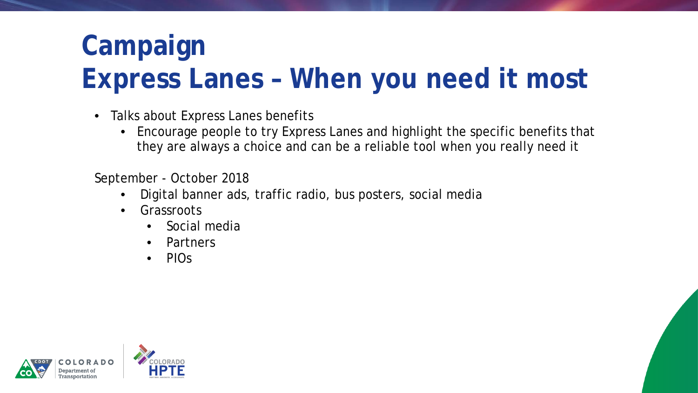# **Campaign Express Lanes – When you need it most**

- Talks about Express Lanes benefits
	- Encourage people to try Express Lanes and highlight the specific benefits that they are always a choice and can be a reliable tool when you really need it

September - October 2018

- Digital banner ads, traffic radio, bus posters, social media
- **Grassroots** 
	- Social media
	- Partners
	- PIOs

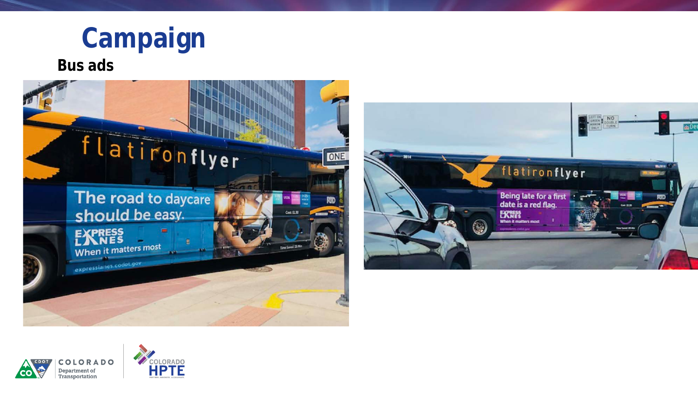**Campaign**

### **Bus ads**





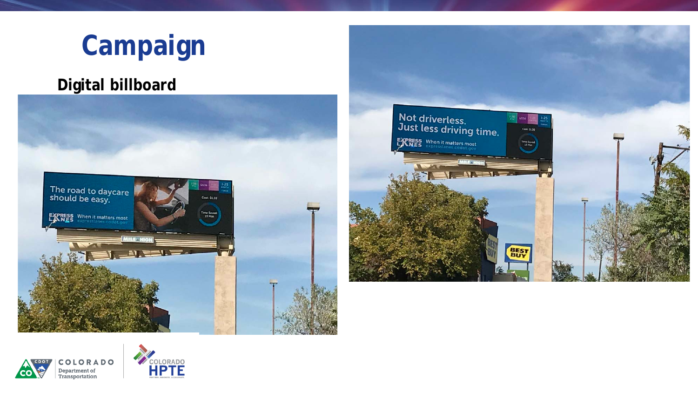

### **Digital billboard**







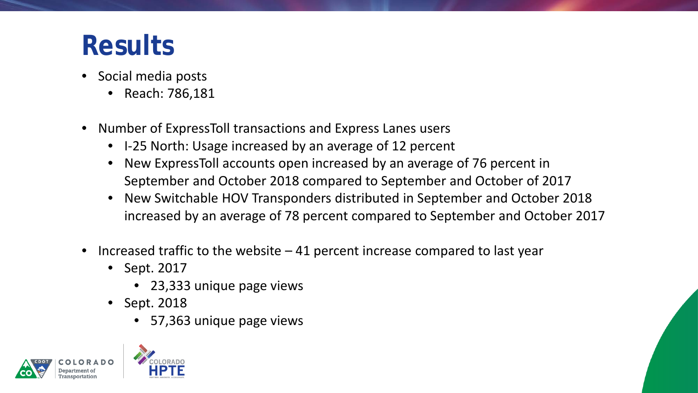## **Results**

- Social media posts
	- Reach: 786,181
- Number of ExpressToll transactions and Express Lanes users
	- I-25 North: Usage increased by an average of 12 percent
	- New ExpressToll accounts open increased by an average of 76 percent in September and October 2018 compared to September and October of 2017
	- New Switchable HOV Transponders distributed in September and October 2018 increased by an average of 78 percent compared to September and October 2017
- Increased traffic to the website  $-41$  percent increase compared to last year
	- Sept. 2017
		- 23,333 unique page views
	- Sept. 2018
		- 57,363 unique page views



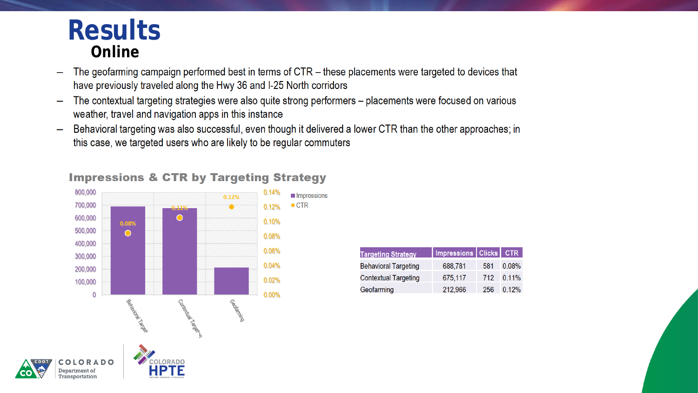## **Results** Online

Transportation

- The geofarming campaign performed best in terms of CTR these placements were targeted to devices that have previously traveled along the Hwy 36 and I-25 North corridors
- The contextual targeting strategies were also quite strong performers placements were focused on various weather, travel and navigation apps in this instance
- Behavioral targeting was also successful, even though it delivered a lower CTR than the other approaches; in this case, we targeted users who are likely to be regular commuters



### **Impressions & CTR by Targeting Strategy**

| <b>Targeting Strategy</b>   | Impressions Clicks CTR |     |          |
|-----------------------------|------------------------|-----|----------|
| <b>Behavioral Targeting</b> | 688,781                | 581 | $0.08\%$ |
| <b>Contextual Targeting</b> | 675,117                | 712 | $0.11\%$ |
| Geofarming                  | 212,966                | 256 | 0.12%    |